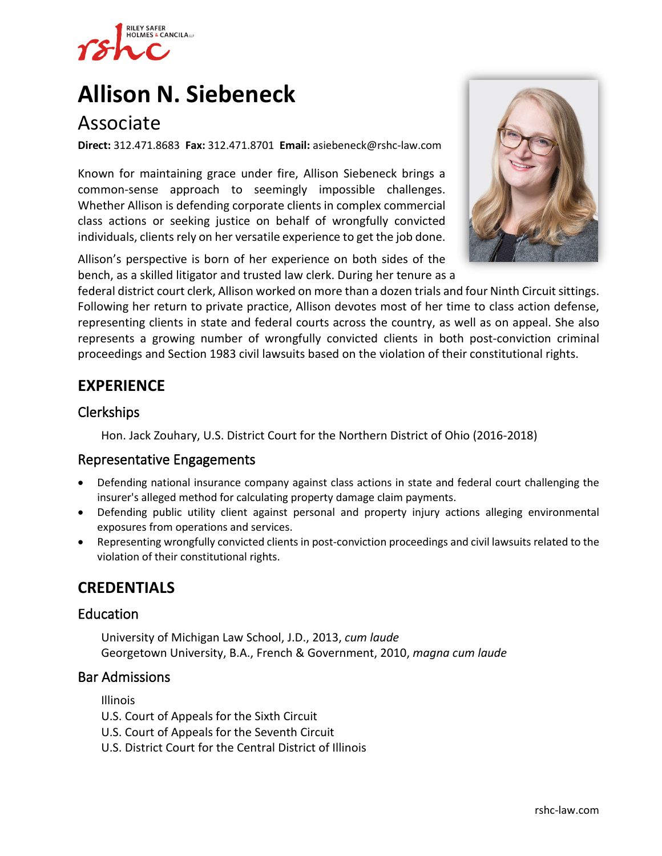

# **[Allison N. Siebeneck](https://www.rshc-law.com/attorneys/attorney/allison-n.-siebeneck)**

# Associate

**Direct:** 312.471.8683 **Fax:** 312.471.8701 **Email:** asiebeneck@rshc-law.com

Known for maintaining grace under fire, Allison Siebeneck brings a common-sense approach to seemingly impossible challenges. Whether Allison is defending corporate clients in complex commercial class actions or seeking justice on behalf of wrongfully convicted individuals, clients rely on her versatile experience to get the job done.

Allison's perspective is born of her experience on both sides of the bench, as a skilled litigator and trusted law clerk. During her tenure as [a](https://www.rshc-law.com/attorneys/attorney/allison-n.-siebeneck) 



federal district court clerk, Allison worked on more than a dozen trials and four Ninth Circuit sittings. Following her return to private practice, Allison devotes most of her time to class action defense, representing clients in state and federal courts across the country, as well as on appeal. She also represents a growing number of wrongfully convicted clients in both post-conviction criminal proceedings and Section 1983 civil lawsuits based on the violation of their constitutional rights.

# **EXPERIENCE**

#### Clerkships

Hon. Jack Zouhary, U.S. District Court for the Northern District of Ohio (2016-2018)

#### Representative Engagements

- Defending national insurance company against class actions in state and federal court challenging the insurer's alleged method for calculating property damage claim payments.
- Defending public utility client against personal and property injury actions alleging environmental exposures from operations and services.
- Representing wrongfully convicted clients in post-conviction proceedings and civil lawsuits related to the violation of their constitutional rights.

## **CREDENTIALS**

#### Education

University of Michigan Law School, J.D., 2013, *cum laude* Georgetown University, B.A., French & Government, 2010, *magna cum laude*

#### Bar Admissions

Illinois

- U.S. Court of Appeals for the Sixth Circuit
- U.S. Court of Appeals for the Seventh Circuit
- U.S. District Court for the Central District of Illinois